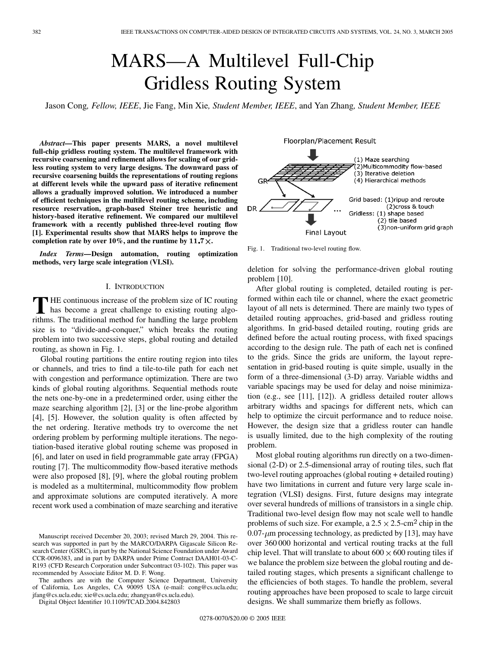# MARS—A Multilevel Full-Chip Gridless Routing System

Jason Cong*, Fellow, IEEE*, Jie Fang, Min Xie*, Student Member, IEEE*, and Yan Zhang*, Student Member, IEEE*

*Abstract—***This paper presents MARS, a novel multilevel full-chip gridless routing system. The multilevel framework with recursive coarsening and refinement allows for scaling of our gridless routing system to very large designs. The downward pass of recursive coarsening builds the representations of routing regions at different levels while the upward pass of iterative refinement allows a gradually improved solution. We introduced a number of efficient techniques in the multilevel routing scheme, including resource reservation, graph-based Steiner tree heuristic and history-based iterative refinement. We compared our multilevel framework with a recently published three-level routing flow [[1](#page-11-0)]. Experimental results show that MARS helps to improve the** completion rate by over  $10\%$ , and the runtime by  $11.7 \times$ .

*Index Terms—***Design automation, routing optimization methods, very large scale integration (VLSI).**

## I. INTRODUCTION

**T** HE continuous increase of the problem size of IC routing<br>has become a great challenge to existing routing algo-<br>withms. The traditional mathed for handling the large replaces rithms. The traditional method for handling the large problem size is to "divide-and-conquer," which breaks the routing problem into two successive steps, global routing and detailed routing, as shown in Fig. 1.

Global routing partitions the entire routing region into tiles or channels, and tries to find a tile-to-tile path for each net with congestion and performance optimization. There are two kinds of global routing algorithms. Sequential methods route the nets one-by-one in a predetermined order, using either the maze searching algorithm [\[2](#page-11-0)], [[3\]](#page-11-0) or the line-probe algorithm [[4\]](#page-11-0), [[5\]](#page-11-0). However, the solution quality is often affected by the net ordering. Iterative methods try to overcome the net ordering problem by performing multiple iterations. The negotiation-based iterative global routing scheme was proposed in [[6\]](#page-11-0), and later on used in field programmable gate array (FPGA) routing [\[7](#page-11-0)]. The multicommodity flow-based iterative methods were also proposed [\[8](#page-11-0)], [\[9](#page-11-0)], where the global routing problem is modeled as a multiterminal, multicommodity flow problem and approximate solutions are computed iteratively. A more recent work used a combination of maze searching and iterative

The authors are with the Computer Science Department, University of California, Los Angeles, CA 90095 USA (e-mail: cong@cs.ucla.edu; jfang@cs.ucla.edu; xie@cs.ucla.edu; zhangyan@cs.ucla.edu).

Digital Object Identifier 10.1109/TCAD.2004.842803

Floorplan/Placement Result



Fig. 1. Traditional two-level routing flow.

deletion for solving the performance-driven global routing problem [\[10](#page-11-0)].

After global routing is completed, detailed routing is performed within each tile or channel, where the exact geometric layout of all nets is determined. There are mainly two types of detailed routing approaches, grid-based and gridless routing algorithms. In grid-based detailed routing, routing grids are defined before the actual routing process, with fixed spacings according to the design rule. The path of each net is confined to the grids. Since the grids are uniform, the layout representation in grid-based routing is quite simple, usually in the form of a three-dimensional (3-D) array. Variable widths and variable spacings may be used for delay and noise minimization (e.g., see [\[11](#page-11-0)], [\[12](#page-11-0)]). A gridless detailed router allows arbitrary widths and spacings for different nets, which can help to optimize the circuit performance and to reduce noise. However, the design size that a gridless router can handle is usually limited, due to the high complexity of the routing problem.

Most global routing algorithms run directly on a two-dimensional (2-D) or 2.5-dimensional array of routing tiles, such flat two-level routing approaches (global routing + detailed routing) have two limitations in current and future very large scale integration (VLSI) designs. First, future designs may integrate over several hundreds of millions of transistors in a single chip. Traditional two-level design flow may not scale well to handle problems of such size. For example, a  $2.5 \times 2.5$ -cm<sup>2</sup> chip in the  $0.07$ - $\mu$ m processing technology, as predicted by [[13\]](#page-11-0), may have over 360 000 horizontal and vertical routing tracks at the full chip level. That will translate to about  $600 \times 600$  routing tiles if we balance the problem size between the global routing and detailed routing stages, which presents a significant challenge to the efficiencies of both stages. To handle the problem, several routing approaches have been proposed to scale to large circuit designs. We shall summarize them briefly as follows.

Manuscript received December 20, 2003; revised March 29, 2004. This research was supported in part by the MARCO/DARPA Gigascale Silicon Research Center (GSRC), in part by the National Science Foundation under Award CCR-0096383, and in part by DARPA under Prime Contract DAAH01-03-C-R193 (CFD Research Corporation under Subcontract 03-102). This paper was recommended by Associate Editor M. D. F. Wong.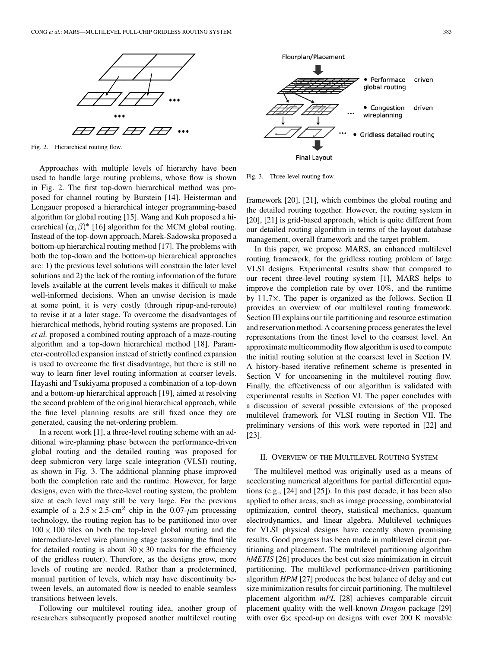

Fig. 2. Hierarchical routing flow.



In a recent work [[1\]](#page-11-0), a three-level routing scheme with an additional wire-planning phase between the performance-driven global routing and the detailed routing was proposed for deep submicron very large scale integration (VLSI) routing, as shown in Fig. 3. The additional planning phase improved both the completion rate and the runtime. However, for large designs, even with the three-level routing system, the problem size at each level may still be very large. For the previous example of a  $2.5 \times 2.5$ -cm<sup>2</sup> chip in the 0.07- $\mu$ m processing technology, the routing region has to be partitioned into over  $100 \times 100$  tiles on both the top-level global routing and the intermediate-level wire planning stage (assuming the final tile for detailed routing is about  $30 \times 30$  tracks for the efficiency of the gridless router). Therefore, as the designs grow, more levels of routing are needed. Rather than a predetermined, manual partition of levels, which may have discontinuity between levels, an automated flow is needed to enable seamless transitions between levels.

Following our multilevel routing idea, another group of researchers subsequently proposed another multilevel routing



Fig. 3. Three-level routing flow.

framework [\[20](#page-11-0)], [[21\]](#page-11-0), which combines the global routing and the detailed routing together. However, the routing system in [\[20](#page-11-0)], [\[21](#page-11-0)] is grid-based approach, which is quite different from our detailed routing algorithm in terms of the layout database management, overall framework and the target problem.

In this paper, we propose MARS, an enhanced multilevel routing framework, for the gridless routing problem of large VLSI designs. Experimental results show that compared to our recent three-level routing system [\[1\]](#page-11-0), MARS helps to improve the completion rate by over 10%, and the runtime by  $11.7\times$ . The paper is organized as the follows. Section II provides an overview of our multilevel routing framework. Section III explains our tile partitioning and resource estimation and reservation method. A coarsening process generates the level representations from the finest level to the coarsest level. An approximate multicommodity flow algorithm is used to compute the initial routing solution at the coarsest level in Section IV. A history-based iterative refinement scheme is presented in Section V for uncoarsening in the multilevel routing flow. Finally, the effectiveness of our algorithm is validated with experimental results in Section VI. The paper concludes with a discussion of several possible extensions of the proposed multilevel framework for VLSI routing in Section VII. The preliminary versions of this work were reported in [\[22](#page-11-0)] and [\[23](#page-11-0)].

## II. OVERVIEW OF THE MULTILEVEL ROUTING SYSTEM

The multilevel method was originally used as a means of accelerating numerical algorithms for partial differential equations (e.g., [[24\]](#page-11-0) and [[25\]](#page-11-0)). In this past decade, it has been also applied to other areas, such as image processing, combinatorial optimization, control theory, statistical mechanics, quantum electrodynamics, and linear algebra. Multilevel techniques for VLSI physical designs have recently shown promising results. Good progress has been made in multilevel circuit partitioning and placement. The multilevel partitioning algorithm *hMETIS* [\[26](#page-11-0)] produces the best cut size minimization in circuit partitioning. The multilevel performance-driven partitioning algorithm *HPM* [\[27](#page-11-0)] produces the best balance of delay and cut size minimization results for circuit partitioning. The multilevel placement algorithm *mPL* [\[28](#page-11-0)] achieves comparable circuit placement quality with the well-known *Dragon* package [[29\]](#page-11-0) with over  $6 \times$  speed-up on designs with over 200 K movable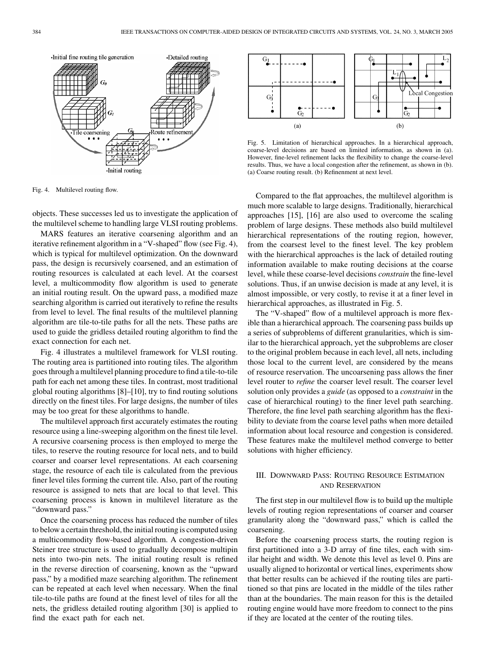

Fig. 4. Multilevel routing flow.

objects. These successes led us to investigate the application of the multilevel scheme to handling large VLSI routing problems.

MARS features an iterative coarsening algorithm and an iterative refinement algorithm in a "V-shaped" flow (see Fig. 4), which is typical for multilevel optimization. On the downward pass, the design is recursively coarsened, and an estimation of routing resources is calculated at each level. At the coarsest level, a multicommodity flow algorithm is used to generate an initial routing result. On the upward pass, a modified maze searching algorithm is carried out iteratively to refine the results from level to level. The final results of the multilevel planning algorithm are tile-to-tile paths for all the nets. These paths are used to guide the gridless detailed routing algorithm to find the exact connection for each net.

Fig. 4 illustrates a multilevel framework for VLSI routing. The routing area is partitioned into routing tiles. The algorithm goes through a multilevel planning procedure to find a tile-to-tile path for each net among these tiles. In contrast, most traditional global routing algorithms [[8\]](#page-11-0)–[\[10](#page-11-0)], try to find routing solutions directly on the finest tiles. For large designs, the number of tiles may be too great for these algorithms to handle.

The multilevel approach first accurately estimates the routing resource using a line-sweeping algorithm on the finest tile level. A recursive coarsening process is then employed to merge the tiles, to reserve the routing resource for local nets, and to build coarser and coarser level representations. At each coarsening stage, the resource of each tile is calculated from the previous finer level tiles forming the current tile. Also, part of the routing resource is assigned to nets that are local to that level. This coarsening process is known in multilevel literature as the "downward pass."

Once the coarsening process has reduced the number of tiles to below a certain threshold, the initial routing is computed using a multicommodity flow-based algorithm. A congestion-driven Steiner tree structure is used to gradually decompose multipin nets into two-pin nets. The initial routing result is refined in the reverse direction of coarsening, known as the "upward pass," by a modified maze searching algorithm. The refinement can be repeated at each level when necessary. When the final tile-to-tile paths are found at the finest level of tiles for all the nets, the gridless detailed routing algorithm [[30\]](#page-11-0) is applied to find the exact path for each net.



Fig. 5. Limitation of hierarchical approaches. In a hierarchical approach, coarse-level decisions are based on limited information, as shown in (a). However, fine-level refinement lacks the flexibility to change the coarse-level results. Thus, we have a local congestion after the refinement, as shown in (b). (a) Coarse routing result. (b) Refinenment at next level.

Compared to the flat approaches, the multilevel algorithm is much more scalable to large designs. Traditionally, hierarchical approaches [[15\]](#page-11-0), [\[16](#page-11-0)] are also used to overcome the scaling problem of large designs. These methods also build multilevel hierarchical representations of the routing region, however, from the coarsest level to the finest level. The key problem with the hierarchical approaches is the lack of detailed routing information available to make routing decisions at the coarse level, while these coarse-level decisions *constrain* the fine-level solutions. Thus, if an unwise decision is made at any level, it is almost impossible, or very costly, to revise it at a finer level in hierarchical approaches, as illustrated in Fig. 5.

The "V-shaped" flow of a multilevel approach is more flexible than a hierarchical approach. The coarsening pass builds up a series of subproblems of different granularities, which is similar to the hierarchical approach, yet the subproblems are closer to the original problem because in each level, all nets, including those local to the current level, are considered by the means of resource reservation. The uncoarsening pass allows the finer level router to *refine* the coarser level result. The coarser level solution only provides a *guide* (as opposed to a *constraint* in the case of hierarchical routing) to the finer level path searching. Therefore, the fine level path searching algorithm has the flexibility to deviate from the coarse level paths when more detailed information about local resource and congestion is considered. These features make the multilevel method converge to better solutions with higher efficiency.

# III. DOWNWARD PASS: ROUTING RESOURCE ESTIMATION AND RESERVATION

The first step in our multilevel flow is to build up the multiple levels of routing region representations of coarser and coarser granularity along the "downward pass," which is called the coarsening.

Before the coarsening process starts, the routing region is first partitioned into a 3-D array of fine tiles, each with similar height and width. We denote this level as level 0. Pins are usually aligned to horizontal or vertical lines, experiments show that better results can be achieved if the routing tiles are partitioned so that pins are located in the middle of the tiles rather than at the boundaries. The main reason for this is the detailed routing engine would have more freedom to connect to the pins if they are located at the center of the routing tiles.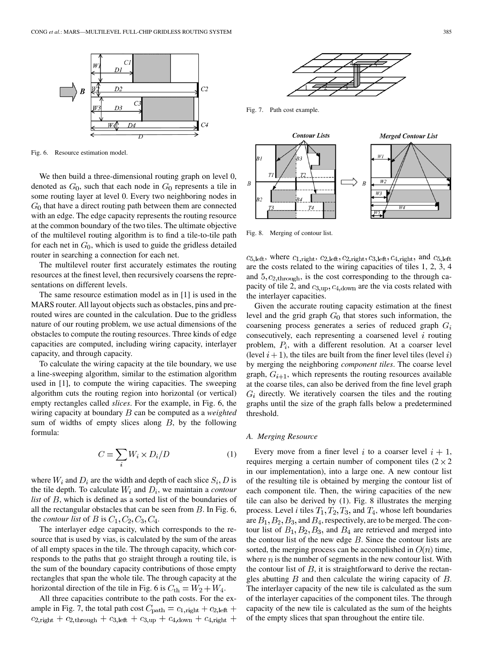

Fig. 6. Resource estimation model.

We then build a three-dimensional routing graph on level 0, denoted as  $G_0$ , such that each node in  $G_0$  represents a tile in some routing layer at level 0. Every two neighboring nodes in  $G_0$  that have a direct routing path between them are connected with an edge. The edge capacity represents the routing resource at the common boundary of the two tiles. The ultimate objective of the multilevel routing algorithm is to find a tile-to-tile path for each net in  $G_0$ , which is used to guide the gridless detailed router in searching a connection for each net.

The multilevel router first accurately estimates the routing resources at the finest level, then recursively coarsens the representations on different levels.

The same resource estimation model as in [\[1](#page-11-0)] is used in the MARS router. All layout objects such as obstacles, pins and prerouted wires are counted in the calculation. Due to the gridless nature of our routing problem, we use actual dimensions of the obstacles to compute the routing resources. Three kinds of edge capacities are computed, including wiring capacity, interlayer capacity, and through capacity.

To calculate the wiring capacity at the tile boundary, we use a line-sweeping algorithm, similar to the estimation algorithm used in [\[1](#page-11-0)], to compute the wiring capacities. The sweeping algorithm cuts the routing region into horizontal (or vertical) empty rectangles called *slices*. For the example, in Fig. 6, the wiring capacity at boundary B can be computed as a *weighted* sum of widths of empty slices along  $B$ , by the following formula:

$$
C = \sum_{i} W_i \times D_i / D \tag{1}
$$

where  $W_i$  and  $D_i$  are the width and depth of each slice  $S_i$ , D is the tile depth. To calculate  $W_i$  and  $D_i$ , we maintain a *contour list* of  $B$ , which is defined as a sorted list of the boundaries of all the rectangular obstacles that can be seen from  $B$ . In Fig. 6, the *contour list* of B is  $C_1$ ,  $C_2$ ,  $C_3$ ,  $C_4$ .

The interlayer edge capacity, which corresponds to the resource that is used by vias, is calculated by the sum of the areas of all empty spaces in the tile. The through capacity, which corresponds to the paths that go straight through a routing tile, is the sum of the boundary capacity contributions of those empty rectangles that span the whole tile. The through capacity at the horizontal direction of the tile in Fig. 6 is  $C_{th} = W_2 + W_4$ .

All three capacities contribute to the path costs. For the example in Fig. 7, the total path cost  $C_{\text{path}} = c_{1,\text{right}} + c_{2,\text{left}} +$  $c_{2, \text{right}} + c_{2, \text{through}} + c_{3, \text{left}} + c_{3, \text{up}} + c_{4, \text{down}} + c_{4, \text{right}} +$ 



Fig. 7. Path cost example.



Fig. 8. Merging of contour list.

 $c_{5,\text{left}}$ , where  $c_{1,\text{right}}$ ,  $c_{2,\text{left}}$ ,  $c_{2,\text{right}}$ ,  $c_{3,\text{left}}$ ,  $c_{4,\text{right}}$ , and  $c_{5,\text{left}}$ are the costs related to the wiring capacities of tiles 1, 2, 3, 4 and  $5, c_{2,\text{through}}$ , is the cost corresponding to the through capacity of tile 2, and  $c_{3,\text{up}}$ ,  $c_{4,\text{down}}$  are the via costs related with the interlayer capacities.

Given the accurate routing capacity estimation at the finest level and the grid graph  $G_0$  that stores such information, the coarsening process generates a series of reduced graph  $G_i$ consecutively, each representing a coarsened level  $i$  routing problem,  $P_i$ , with a different resolution. At a coarser level (level  $i + 1$ ), the tiles are built from the finer level tiles (level i) by merging the neighboring *component tiles*. The coarse level graph,  $G_{i+1}$ , which represents the routing resources available at the coarse tiles, can also be derived from the fine level graph  $G_i$  directly. We iteratively coarsen the tiles and the routing graphs until the size of the graph falls below a predetermined threshold.

# *A. Merging Resource*

Every move from a finer level i to a coarser level  $i + 1$ , requires merging a certain number of component tiles  $(2 \times 2)$ in our implementation), into a large one. A new contour list of the resulting tile is obtained by merging the contour list of each component tile. Then, the wiring capacities of the new tile can also be derived by (1). Fig. 8 illustrates the merging process. Level *i* tiles  $T_1, T_2, T_3$ , and  $T_4$ , whose left boundaries are  $B_1, B_2, B_3$ , and  $B_4$ , respectively, are to be merged. The contour list of  $B_1, B_2, B_3$ , and  $B_4$  are retrieved and merged into the contour list of the new edge  $B$ . Since the contour lists are sorted, the merging process can be accomplished in  $O(n)$  time, where  $n$  is the number of segments in the new contour list. With the contour list of  $B$ , it is straightforward to derive the rectangles abutting  $B$  and then calculate the wiring capacity of  $B$ . The interlayer capacity of the new tile is calculated as the sum of the interlayer capacities of the component tiles. The through capacity of the new tile is calculated as the sum of the heights of the empty slices that span throughout the entire tile.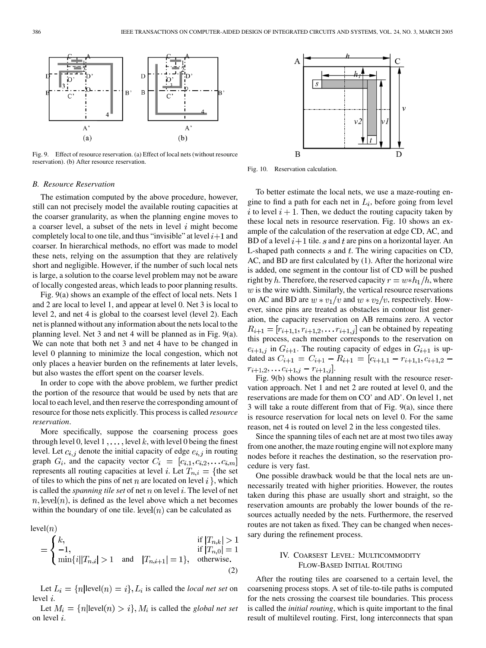

Fig. 9. Effect of resource reservation. (a) Effect of local nets (without resource reservation). (b) After resource reservation.

## *B. Resource Reservation*

The estimation computed by the above procedure, however, still can not precisely model the available routing capacities at the coarser granularity, as when the planning engine moves to a coarser level, a subset of the nets in level  $i$  might become completely local to one tile, and thus "invisible" at level  $i+1$  and coarser. In hierarchical methods, no effort was made to model these nets, relying on the assumption that they are relatively short and negligible. However, if the number of such local nets is large, a solution to the coarse level problem may not be aware of locally congested areas, which leads to poor planning results.

Fig. 9(a) shows an example of the effect of local nets. Nets 1 and 2 are local to level 1, and appear at level 0. Net 3 is local to level 2, and net 4 is global to the coarsest level (level 2). Each net is planned without any information about the nets local to the planning level. Net 3 and net 4 will be planned as in Fig. 9(a). We can note that both net 3 and net 4 have to be changed in level 0 planning to minimize the local congestion, which not only places a heavier burden on the refinements at later levels, but also wastes the effort spent on the coarser levels.

In order to cope with the above problem, we further predict the portion of the resource that would be used by nets that are local to each level, and then reserve the corresponding amount of resource for those nets explicitly. This process is called *resource reservation*.

More specifically, suppose the coarsening process goes through level 0, level 1,  $\ldots$ , level k, with level 0 being the finest level. Let  $c_{i,j}$  denote the initial capacity of edge  $e_{i,j}$  in routing graph  $G_i$ , and the capacity vector  $C_i = [c_{i,1}, c_{i,2}, \dots c_{i,m}]$ represents all routing capacities at level i. Let  $T_{n,i} = \{$  the set of tiles to which the pins of net n are located on level  $i \nvert$ , which is called the *spanning tile set* of net  $n$  on level  $i$ . The level of net  $n$ , level $(n)$ , is defined as the level above which a net becomes within the boundary of one tile.  $level(n)$  can be calculated as

 $level(n)$ 

$$
= \begin{cases} k, & \text{if } |T_{n,k}| > 1 \\ -1, & \text{if } |T_{n,0}| = 1 \\ \min\{i||T_{n,i}| > 1 \text{ and } |T_{n,i+1}| = 1\}, & \text{otherwise.} \end{cases}
$$
(2)

Let  $L_i = \{n | level(n) = i\}, L_i$  is called the *local net set* on level  $i$ .

Let  $M_i = \{n | level(n) > i\}$ ,  $M_i$  is called the *global net set* on level  $i$ .



Fig. 10. Reservation calculation.

To better estimate the local nets, we use a maze-routing engine to find a path for each net in  $L_i$ , before going from level i to level  $i + 1$ . Then, we deduct the routing capacity taken by these local nets in resource reservation. Fig. 10 shows an example of the calculation of the reservation at edge CD, AC, and BD of a level  $i+1$  tile. s and t are pins on a horizontal layer. An L-shaped path connects  $s$  and  $t$ . The wiring capacities on CD, AC, and BD are first calculated by (1). After the horizonal wire is added, one segment in the contour list of CD will be pushed right by h. Therefore, the reserved capacity  $r = w * h_1/h$ , where  $w$  is the wire width. Similarly, the vertical resource reservations on AC and BD are  $w * v_1/v$  and  $w * v_2/v$ , respectively. However, since pins are treated as obstacles in contour list generation, the capacity reservation on AB remains zero. A vector  $R_{i+1} = [r_{i+1,1}, r_{i+1,2}, \ldots r_{i+1,j}]$  can be obtained by repeating this process, each member corresponds to the reservation on  $e_{i+1,j}$  in  $G_{i+1}$ . The routing capacity of edges in  $G_{i+1}$  is updated as  $C_{i+1} = C_{i+1} - R_{i+1} = [c_{i+1,1} - r_{i+1,1}, c_{i+1,2}$  $r_{i+1,2}, \ldots c_{i+1,j} - r_{i+1,j}$ .

Fig. 9(b) shows the planning result with the resource reservation approach. Net 1 and net 2 are routed at level 0, and the reservations are made for them on CO' and AD'. On level 1, net 3 will take a route different from that of Fig. 9(a), since there is resource reservation for local nets on level 0. For the same reason, net 4 is routed on level 2 in the less congested tiles.

Since the spanning tiles of each net are at most two tiles away from one another, the maze routing engine will not explore many nodes before it reaches the destination, so the reservation procedure is very fast.

One possible drawback would be that the local nets are unnecessarily treated with higher priorities. However, the routes taken during this phase are usually short and straight, so the reservation amounts are probably the lower bounds of the resources actually needed by the nets. Furthermore, the reserved routes are not taken as fixed. They can be changed when necessary during the refinement process.

# IV. COARSEST LEVEL: MULTICOMMODITY FLOW-BASED INITIAL ROUTING

After the routing tiles are coarsened to a certain level, the coarsening process stops. A set of tile-to-tile paths is computed for the nets crossing the coarsest tile boundaries. This process is called the *initial routing*, which is quite important to the final result of multilevel routing. First, long interconnects that span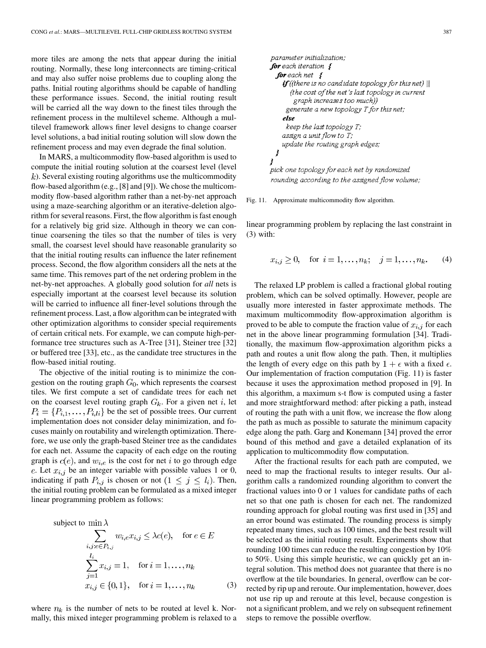more tiles are among the nets that appear during the initial routing. Normally, these long interconnects are timing-critical and may also suffer noise problems due to coupling along the paths. Initial routing algorithms should be capable of handling these performance issues. Second, the initial routing result will be carried all the way down to the finest tiles through the refinement process in the multilevel scheme. Although a multilevel framework allows finer level designs to change coarser level solutions, a bad initial routing solution will slow down the refinement process and may even degrade the final solution.

In MARS, a multicommodity flow-based algorithm is used to compute the initial routing solution at the coarsest level (level  $k$ ). Several existing routing algorithms use the multicommodity flow-based algorithm (e.g., [\[8](#page-11-0)] and [[9\]](#page-11-0)). We chose the multicommodity flow-based algorithm rather than a net-by-net approach using a maze-searching algorithm or an iterative-deletion algorithm for several reasons. First, the flow algorithm is fast enough for a relatively big grid size. Although in theory we can continue coarsening the tiles so that the number of tiles is very small, the coarsest level should have reasonable granularity so that the initial routing results can influence the later refinement process. Second, the flow algorithm considers all the nets at the same time. This removes part of the net ordering problem in the net-by-net approaches. A globally good solution for *all* nets is especially important at the coarsest level because its solution will be carried to influence all finer-level solutions through the refinement process. Last, a flow algorithm can be integrated with other optimization algorithms to consider special requirements of certain critical nets. For example, we can compute high-performance tree structures such as A-Tree [[31\]](#page-11-0), Steiner tree [[32\]](#page-11-0) or buffered tree [\[33](#page-12-0)], etc., as the candidate tree structures in the flow-based initial routing.

The objective of the initial routing is to minimize the congestion on the routing graph  $G_0$ , which represents the coarsest tiles. We first compute a set of candidate trees for each net on the coarsest level routing graph  $G_k$ . For a given net i, let  $P_i = \{P_{i,1}, \ldots, P_{i,li}\}\$ be the set of possible trees. Our current implementation does not consider delay minimization, and focuses mainly on routability and wirelength optimization. Therefore, we use only the graph-based Steiner tree as the candidates for each net. Assume the capacity of each edge on the routing graph is  $c(e)$ , and  $w_{i,e}$  is the cost for net i to go through edge e. Let  $x_{i,j}$  be an integer variable with possible values 1 or 0, indicating if path  $P_{i,j}$  is chosen or not  $(1 \leq j \leq l_i)$ . Then, the initial routing problem can be formulated as a mixed integer linear programming problem as follows:

subject to 
$$
\min \lambda
$$
  
\n
$$
\sum_{i,j:e \in P_{i,j}} w_{i,e} x_{i,j} \leq \lambda c(e), \quad \text{for } e \in E
$$
  
\n
$$
\sum_{j=1}^{l_i} x_{i,j} = 1, \quad \text{for } i = 1, ..., n_k
$$
  
\n
$$
x_{i,j} \in \{0, 1\}, \quad \text{for } i = 1, ..., n_k
$$
 (3)

where  $n_k$  is the number of nets to be routed at level k. Normally, this mixed integer programming problem is relaxed to a

```
parameter initialization;
for each iteration \{for each net \boldsymbol{\xi}if ((there is no candidate topology for this net) \parallel(the cost of the net's last topology in current
        graph increases too much))
     generate a new topology T for this net;
    else
     keep the last topology T;
    assign a unit flow to T;
    update the routing graph edges;
 1
ł
pick one topology for each net by randomized
```
Fig. 11. Approximate multicommodity flow algorithm.

linear programming problem by replacing the last constraint in (3) with:

rounding according to the assigned flow volume;

$$
x_{i,j} \ge 0
$$
, for  $i = 1, ..., n_k$ ;  $j = 1, ..., n_k$ . (4)

The relaxed LP problem is called a fractional global routing problem, which can be solved optimally. However, people are usually more interested in faster approximate methods. The maximum multicommodity flow-approximation algorithm is proved to be able to compute the fraction value of  $x_{i,j}$  for each net in the above linear programming formulation [\[34](#page-12-0)]. Traditionally, the maximum flow-approximation algorithm picks a path and routes a unit flow along the path. Then, it multiplies the length of every edge on this path by  $1 + \epsilon$  with a fixed  $\epsilon$ . Our implementation of fraction computation (Fig. 11) is faster because it uses the approximation method proposed in [[9\]](#page-11-0). In this algorithm, a maximum s-t flow is computed using a faster and more straightforward method: after picking a path, instead of routing the path with a unit flow, we increase the flow along the path as much as possible to saturate the minimum capacity edge along the path. Garg and Konemann [\[34](#page-12-0)] proved the error bound of this method and gave a detailed explanation of its application to multicommodity flow computation.

After the fractional results for each path are computed, we need to map the fractional results to integer results. Our algorithm calls a randomized rounding algorithm to convert the fractional values into 0 or 1 values for candidate paths of each net so that one path is chosen for each net. The randomized rounding approach for global routing was first used in [[35\]](#page-12-0) and an error bound was estimated. The rounding process is simply repeated many times, such as 100 times, and the best result will be selected as the initial routing result. Experiments show that rounding 100 times can reduce the resulting congestion by 10% to 50%. Using this simple heuristic, we can quickly get an integral solution. This method does not guarantee that there is no overflow at the tile boundaries. In general, overflow can be corrected by rip up and reroute. Our implementation, however, does not use rip up and reroute at this level, because congestion is not a significant problem, and we rely on subsequent refinement steps to remove the possible overflow.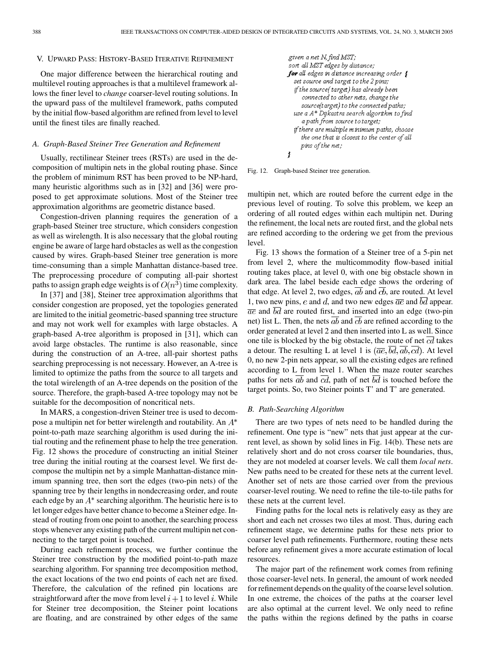## V. UPWARD PASS: HISTORY-BASED ITERATIVE REFINEMENT

One major difference between the hierarchical routing and multilevel routing approaches is that a multilevel framework allows the finer level to *change* coarser-level routing solutions. In the upward pass of the multilevel framework, paths computed by the initial flow-based algorithm are refined from level to level until the finest tiles are finally reached.

## *A. Graph-Based Steiner Tree Generation and Refinement*

Usually, rectilinear Steiner trees (RSTs) are used in the decomposition of multipin nets in the global routing phase. Since the problem of minimum RST has been proved to be NP-hard, many heuristic algorithms such as in [[32\]](#page-11-0) and [[36\]](#page-12-0) were proposed to get approximate solutions. Most of the Steiner tree approximation algorithms are geometric distance based.

Congestion-driven planning requires the generation of a graph-based Steiner tree structure, which considers congestion as well as wirelength. It is also necessary that the global routing engine be aware of large hard obstacles as well as the congestion caused by wires. Graph-based Steiner tree generation is more time-consuming than a simple Manhattan distance-based tree. The preprocessing procedure of computing all-pair shortest paths to assign graph edge weights is of  $O(n^3)$  time complexity.

In [\[37](#page-12-0)] and [\[38](#page-12-0)], Steiner tree approximation algorithms that consider congestion are proposed, yet the topologies generated are limited to the initial geometric-based spanning tree structure and may not work well for examples with large obstacles. A graph-based A-tree algorithm is proposed in [\[31](#page-11-0)], which can avoid large obstacles. The runtime is also reasonable, since during the construction of an A-tree, all-pair shortest paths searching preprocessing is not necessary. However, an A-tree is limited to optimize the paths from the source to all targets and the total wirelength of an A-tree depends on the position of the source. Therefore, the graph-based A-tree topology may not be suitable for the decomposition of noncritical nets.

In MARS, a congestion-driven Steiner tree is used to decompose a multipin net for better wirelength and routability. An  $A^*$ point-to-path maze searching algorithm is used during the initial routing and the refinement phase to help the tree generation. Fig. 12 shows the procedure of constructing an initial Steiner tree during the initial routing at the coarsest level. We first decompose the multipin net by a simple Manhattan-distance minimum spanning tree, then sort the edges (two-pin nets) of the spanning tree by their lengths in nondecreasing order, and route each edge by an  $A^*$  searching algorithm. The heuristic here is to let longer edges have better chance to become a Steiner edge. Instead of routing from one point to another, the searching process stops whenever any existing path of the current multipin net connecting to the target point is touched.

During each refinement process, we further continue the Steiner tree construction by the modified point-to-path maze searching algorithm. For spanning tree decomposition method, the exact locations of the two end points of each net are fixed. Therefore, the calculation of the refined pin locations are straightforward after the move from level  $i+1$  to level i. While for Steiner tree decomposition, the Steiner point locations are floating, and are constrained by other edges of the same

```
given a net N, find MST;
sort all MST edges by distance;
for all edges in distance increasing order fset source and target to the 2 pins;
  if the source(target) has already been
     connected to other nets, change the
     source(target) to the connected paths;
  use a A* Dijkastra search algorithm to find
     a path from source to target;
  if there are multiple minimum paths, choose
     the one that is closest to the center of all
     pins of the net;
ł
```
Fig. 12. Graph-based Steiner tree generation.

multipin net, which are routed before the current edge in the previous level of routing. To solve this problem, we keep an ordering of all routed edges within each multipin net. During the refinement, the local nets are routed first, and the global nets are refined according to the ordering we get from the previous level.

Fig. 13 shows the formation of a Steiner tree of a 5-pin net from level 2, where the multicommodity flow-based initial routing takes place, at level 0, with one big obstacle shown in dark area. The label beside each edge shows the ordering of that edge. At level 2, two edges,  $ab$  and  $cb$ , are routed. At level 1, two new pins, e and d, and two new edges  $\overline{ae}$  and bd appear.  $\overline{ae}$  and  $bd$  are routed first, and inserted into an edge (two-pin net) list L. Then, the nets  $ab$  and  $cb$  are refined according to the order generated at level 2 and then inserted into L as well. Since one tile is blocked by the big obstacle, the route of net  $cd$  takes a detour. The resulting L at level 1 is  $(\overline{ae}, \overline{bd}, \overline{ab}, \overline{cd})$ . At level 0, no new 2-pin nets appear, so all the existing edges are refined according to L from level 1. When the maze router searches paths for nets ab and  $cd$ , path of net bd is touched before the target points. So, two Steiner points T' and T' are generated.

## *B. Path-Searching Algorithm*

There are two types of nets need to be handled during the refinement. One type is "new" nets that just appear at the current level, as shown by solid lines in Fig. 14(b). These nets are relatively short and do not cross coarser tile boundaries, thus, they are not modeled at coarser levels. We call them *local nets*. New paths need to be created for these nets at the current level. Another set of nets are those carried over from the previous coarser-level routing. We need to refine the tile-to-tile paths for these nets at the current level.

Finding paths for the local nets is relatively easy as they are short and each net crosses two tiles at most. Thus, during each refinement stage, we determine paths for these nets prior to coarser level path refinements. Furthermore, routing these nets before any refinement gives a more accurate estimation of local resources.

The major part of the refinement work comes from refining those coarser-level nets. In general, the amount of work needed for refinement depends on the quality of the coarse level solution. In one extreme, the choices of the paths at the coarser level are also optimal at the current level. We only need to refine the paths within the regions defined by the paths in coarse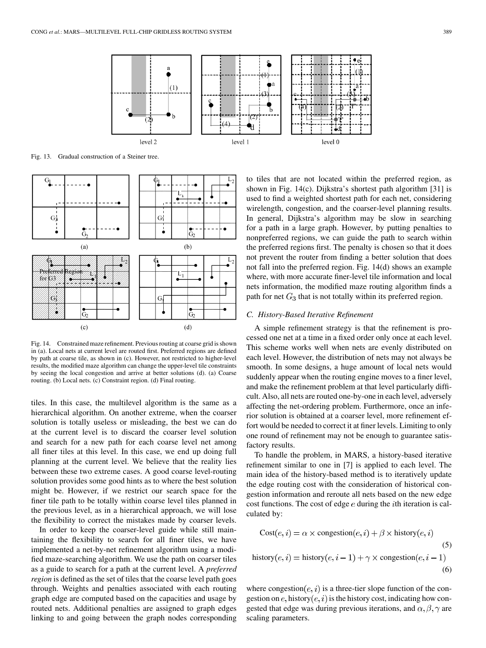

Fig. 13. Gradual construction of a Steiner tree.



Fig. 14. Constrained maze refinement. Previous routing at coarse grid is shown in (a). Local nets at current level are routed first. Preferred regions are defined by path at coarse tile, as shown in (c). However, not restricted to higher-level results, the modified maze algorithm can change the upper-level tile constraints by seeing the local congestion and arrive at better solutions (d). (a) Coarse routing. (b) Local nets. (c) Constraint region. (d) Final routing.

tiles. In this case, the multilevel algorithm is the same as a hierarchical algorithm. On another extreme, when the coarser solution is totally useless or misleading, the best we can do at the current level is to discard the coarser level solution and search for a new path for each coarse level net among all finer tiles at this level. In this case, we end up doing full planning at the current level. We believe that the reality lies between these two extreme cases. A good coarse level-routing solution provides some good hints as to where the best solution might be. However, if we restrict our search space for the finer tile path to be totally within coarse level tiles planned in the previous level, as in a hierarchical approach, we will lose the flexibility to correct the mistakes made by coarser levels.

In order to keep the coarser-level guide while still maintaining the flexibility to search for all finer tiles, we have implemented a net-by-net refinement algorithm using a modified maze-searching algorithm. We use the path on coarser tiles as a guide to search for a path at the current level. A *preferred region* is defined as the set of tiles that the coarse level path goes through. Weights and penalties associated with each routing graph edge are computed based on the capacities and usage by routed nets. Additional penalties are assigned to graph edges linking to and going between the graph nodes corresponding

to tiles that are not located within the preferred region, as shown in Fig. 14(c). Dijkstra's shortest path algorithm [\[31\]](#page-11-0) is used to find a weighted shortest path for each net, considering wirelength, congestion, and the coarser-level planning results. In general, Dijkstra's algorithm may be slow in searching for a path in a large graph. However, by putting penalties to nonpreferred regions, we can guide the path to search within the preferred regions first. The penalty is chosen so that it does not prevent the router from finding a better solution that does not fall into the preferred region. Fig. 14(d) shows an example where, with more accurate finer-level tile information and local nets information, the modified maze routing algorithm finds a path for net  $G_3$  that is not totally within its preferred region.

## *C. History-Based Iterative Refinement*

A simple refinement strategy is that the refinement is processed one net at a time in a fixed order only once at each level. This scheme works well when nets are evenly distributed on each level. However, the distribution of nets may not always be smooth. In some designs, a huge amount of local nets would suddenly appear when the routing engine moves to a finer level, and make the refinement problem at that level particularly difficult. Also, all nets are routed one-by-one in each level, adversely affecting the net-ordering problem. Furthermore, once an inferior solution is obtained at a coarser level, more refinement effort would be needed to correct it at finer levels. Limiting to only one round of refinement may not be enough to guarantee satisfactory results.

To handle the problem, in MARS, a history-based iterative refinement similar to one in [[7\]](#page-11-0) is applied to each level. The main idea of the history-based method is to iteratively update the edge routing cost with the consideration of historical congestion information and reroute all nets based on the new edge cost functions. The cost of edge  $e$  during the *i*th iteration is calculated by:

$$
Cost(e, i) = \alpha \times \text{congestion}(e, i) + \beta \times \text{history}(e, i)
$$
\n
$$
(5)
$$
\n
$$
\text{history}(e, i) = \text{history}(e, i - 1) + \gamma \times \text{congestion}(e, i - 1)
$$
\n
$$
(6)
$$

where congestion  $(e, i)$  is a three-tier slope function of the congestion on e, history  $(e, i)$  is the history cost, indicating how congested that edge was during previous iterations, and  $\alpha, \beta, \gamma$  are scaling parameters.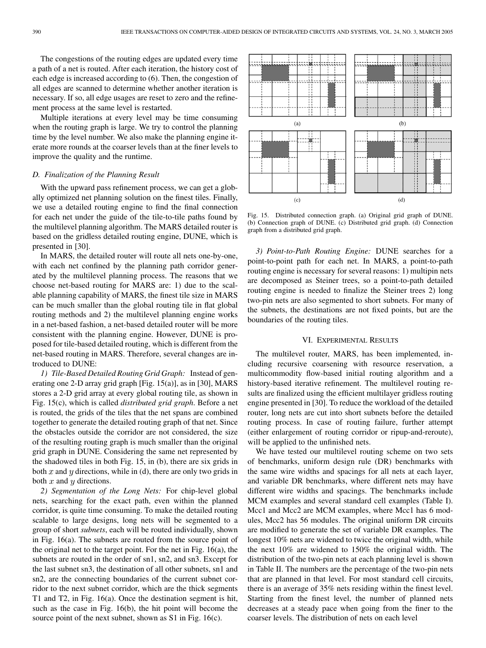The congestions of the routing edges are updated every time a path of a net is routed. After each iteration, the history cost of each edge is increased according to (6). Then, the congestion of all edges are scanned to determine whether another iteration is necessary. If so, all edge usages are reset to zero and the refinement process at the same level is restarted.

Multiple iterations at every level may be time consuming when the routing graph is large. We try to control the planning time by the level number. We also make the planning engine iterate more rounds at the coarser levels than at the finer levels to improve the quality and the runtime.

# *D. Finalization of the Planning Result*

With the upward pass refinement process, we can get a globally optimized net planning solution on the finest tiles. Finally, we use a detailed routing engine to find the final connection for each net under the guide of the tile-to-tile paths found by the multilevel planning algorithm. The MARS detailed router is based on the gridless detailed routing engine, DUNE, which is presented in [[30\]](#page-11-0).

In MARS, the detailed router will route all nets one-by-one, with each net confined by the planning path corridor generated by the multilevel planning process. The reasons that we choose net-based routing for MARS are: 1) due to the scalable planning capability of MARS, the finest tile size in MARS can be much smaller than the global routing tile in flat global routing methods and 2) the multilevel planning engine works in a net-based fashion, a net-based detailed router will be more consistent with the planning engine. However, DUNE is proposed for tile-based detailed routing, which is different from the net-based routing in MARS. Therefore, several changes are introduced to DUNE:

*1) Tile-Based Detailed Routing Grid Graph:* Instead of generating one 2-D array grid graph [Fig. 15(a)], as in [\[30](#page-11-0)], MARS stores a 2-D grid array at every global routing tile, as shown in Fig. 15(c), which is called *distributed grid graph*. Before a net is routed, the grids of the tiles that the net spans are combined together to generate the detailed routing graph of that net. Since the obstacles outside the corridor are not considered, the size of the resulting routing graph is much smaller than the original grid graph in DUNE. Considering the same net represented by the shadowed tiles in both Fig. 15, in (b), there are six grids in both  $x$  and  $y$  directions, while in (d), there are only two grids in both  $x$  and  $y$  directions.

*2) Segmentation of the Long Nets:* For chip-level global nets, searching for the exact path, even within the planned corridor, is quite time consuming. To make the detailed routing scalable to large designs, long nets will be segmented to a group of short *subnets*, each will be routed individually, shown in Fig. 16(a). The subnets are routed from the source point of the original net to the target point. For the net in Fig. 16(a), the subnets are routed in the order of sn1, sn2, and sn3. Except for the last subnet sn3, the destination of all other subnets, sn1 and sn2, are the connecting boundaries of the current subnet corridor to the next subnet corridor, which are the thick segments T1 and T2, in Fig. 16(a). Once the destination segment is hit, such as the case in Fig. 16(b), the hit point will become the source point of the next subnet, shown as S1 in Fig. 16(c).



Fig. 15. Distributed connection graph. (a) Original grid graph of DUNE. (b) Connection graph of DUNE. (c) Distributed grid graph. (d) Connection graph from a distributed grid graph.

*3) Point-to-Path Routing Engine:* DUNE searches for a point-to-point path for each net. In MARS, a point-to-path routing engine is necessary for several reasons: 1) multipin nets are decomposed as Steiner trees, so a point-to-path detailed routing engine is needed to finalize the Steiner trees 2) long two-pin nets are also segmented to short subnets. For many of the subnets, the destinations are not fixed points, but are the boundaries of the routing tiles.

# VI. EXPERIMENTAL RESULTS

The multilevel router, MARS, has been implemented, including recursive coarsening with resource reservation, a multicommodity flow-based initial routing algorithm and a history-based iterative refinement. The multilevel routing results are finalized using the efficient multilayer gridless routing engine presented in [[30\]](#page-11-0). To reduce the workload of the detailed router, long nets are cut into short subnets before the detailed routing process. In case of routing failure, further attempt (either enlargement of routing corridor or ripup-and-reroute), will be applied to the unfinished nets.

We have tested our multilevel routing scheme on two sets of benchmarks, uniform design rule (DR) benchmarks with the same wire widths and spacings for all nets at each layer, and variable DR benchmarks, where different nets may have different wire widths and spacings. The benchmarks include MCM examples and several standard cell examples (Table I). Mcc1 and Mcc2 are MCM examples, where Mcc1 has 6 modules, Mcc2 has 56 modules. The original uniform DR circuits are modified to generate the set of variable DR examples. The longest 10% nets are widened to twice the original width, while the next 10% are widened to 150% the original width. The distribution of the two-pin nets at each planning level is shown in Table II. The numbers are the percentage of the two-pin nets that are planned in that level. For most standard cell circuits, there is an average of 35% nets residing within the finest level. Starting from the finest level, the number of planned nets decreases at a steady pace when going from the finer to the coarser levels. The distribution of nets on each level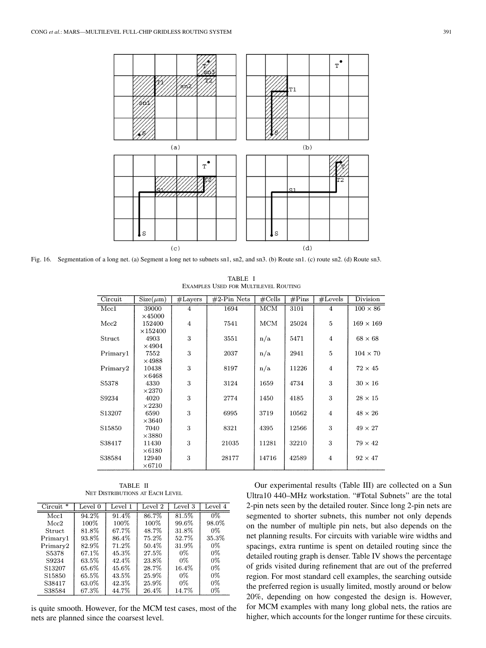

Fig. 16. Segmentation of a long net. (a) Segment a long net to subnets sn1, sn2, and sn3. (b) Route sn1. (c) route sn2. (d) Route sn3.

| Circuit            | $Size(\mu m)$          | #Layers        | $#2$ -Pin Nets | #Cells     | #Pins | $#$ Levels     | Division         |
|--------------------|------------------------|----------------|----------------|------------|-------|----------------|------------------|
| Mcc1               | 39000                  | $\overline{4}$ | 1694           | MCM        | 3101  | $\overline{4}$ | $100 \times 86$  |
|                    | $\times 45000$         |                |                |            |       |                |                  |
| Mcc2               | 152400                 | $\overline{4}$ | 7541           | <b>MCM</b> | 25024 | 5              | $169 \times 169$ |
|                    | $\times 152400$        |                |                |            |       |                |                  |
| Struct             | 4903                   | 3              | 3551           | n/a        | 5471  | $\overline{4}$ | $68 \times 68$   |
|                    | $\times$ 4904          |                |                |            |       |                |                  |
| Primary1           | 7552                   | 3              | 2037           | n/a        | 2941  | 5              | $104 \times 70$  |
|                    | $\times$ 4988<br>10438 | 3              | 8197           |            | 11226 | $\overline{4}$ | $72 \times 45$   |
| Primary2           | $\times 6468$          |                |                | n/a        |       |                |                  |
| S5378              | 4330                   | 3              | 3124           | 1659       | 4734  | 3              | $30 \times 16$   |
|                    | $\times 2370$          |                |                |            |       |                |                  |
| S9234              | 4020                   | 3              | 2774           | 1450       | 4185  | 3              | $28\times15$     |
|                    | $\times 2230$          |                |                |            |       |                |                  |
| S13207             | 6590                   | 3              | 6995           | 3719       | 10562 | $\overline{4}$ | $48 \times 26$   |
|                    | $\times 3640$          |                |                |            |       |                |                  |
| S <sub>15850</sub> | 7040                   | 3              | 8321           | 4395       | 12566 | 3              | $49 \times 27$   |
|                    | $\times 3880$          |                |                |            |       |                |                  |
| S38417             | 11430                  | 3              | 21035          | 11281      | 32210 | 3              | $79 \times 42$   |
|                    | $\times 6180$          |                |                |            |       |                |                  |
| S38584             | 12940                  | 3              | 28177          | 14716      | 42589 | $\overline{4}$ | $92 \times 47$   |
|                    | $\times 6710$          |                |                |            |       |                |                  |

TABLE I EXAMPLES USED FOR MULTILEVEL ROUTING

TABLE II NET DISTRIBUTIONS AT EACH LEVEL

| $Circuit *$             | Level 0 | Level 1             | Level 2 | Level 3 | Level 4 |
|-------------------------|---------|---------------------|---------|---------|---------|
| $\overline{\text{Mcc}}$ | 94.2%   | $91.\overline{4\%}$ | 86.7%   | 81.5%   | $0\%$   |
| Mcc2                    | 100%    | 100%                | 100%    | 99.6%   | 98.0%   |
| Struct                  | 81.8%   | 67.7%               | 48.7%   | 31.8%   | $0\%$   |
| Primary1                | 93.8%   | 86.4%               | 75.2%   | 52.7%   | 35.3%   |
| Primary2                | 82.9%   | 71.2%               | 50.4%   | 31.9%   | $0\%$   |
| S5378                   | 67.1%   | 45.3%               | 27.5%   | $0\%$   | $0\%$   |
| S9234                   | 63.5%   | 42.4%               | 23.8%   | $0\%$   | $0\%$   |
| S13207                  | 65.6%   | 45.6%               | 28.7%   | 16.4%   | $0\%$   |
| S <sub>15850</sub>      | 65.5%   | 43.5%               | 25.9%   | $0\%$   | $0\%$   |
| S38417                  | 63.0%   | 42.3%               | 25.9%   | $0\%$   | $0\%$   |
| S38584                  | 67.3%   | 44.7%               | 26.4%   | 14.7%   | $0\%$   |

is quite smooth. However, for the MCM test cases, most of the nets are planned since the coarsest level.

Our experimental results (Table III) are collected on a Sun Ultra10 440–MHz workstation. "#Total Subnets" are the total 2-pin nets seen by the detailed router. Since long 2-pin nets are segmented to shorter subnets, this number not only depends on the number of multiple pin nets, but also depends on the net planning results. For circuits with variable wire widths and spacings, extra runtime is spent on detailed routing since the detailed routing graph is denser. Table IV shows the percentage of grids visited during refinement that are out of the preferred region. For most standard cell examples, the searching outside the preferred region is usually limited, mostly around or below 20%, depending on how congested the design is. However, for MCM examples with many long global nets, the ratios are higher, which accounts for the longer runtime for these circuits.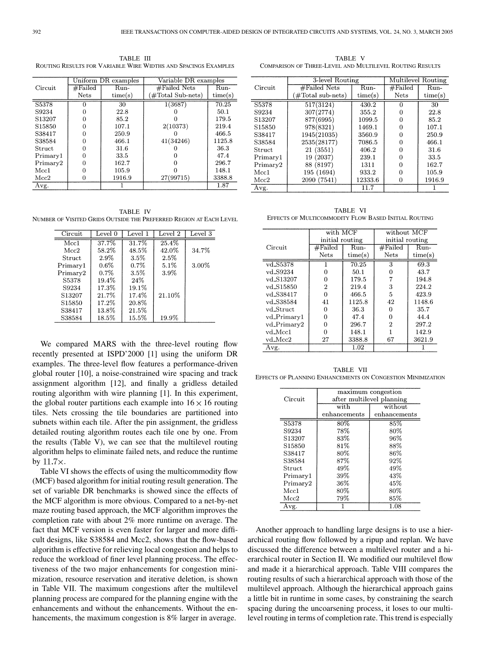TABLE III ROUTING RESULTS FOR VARIABLE WIRE WIDTHS AND SPACINGS EXAMPLES

|                    |             | Uniform DR examples | Variable DR examples |         |  |
|--------------------|-------------|---------------------|----------------------|---------|--|
| Circuit            | #Failed     | Run-                | $#$ Failed Nets      | Run-    |  |
|                    | <b>Nets</b> | time(s)             | $#Total Sub-nets$    | time(s) |  |
| S5378              | 0           | 30                  | 1(3687)              | 70.25   |  |
| S9234              |             | 22.8                |                      | 50.1    |  |
| S <sub>13207</sub> | 0           | 85.2                |                      | 179.5   |  |
| S <sub>15850</sub> | 0           | 107.1               | 2(10373)             | 219.4   |  |
| S38417             | 0           | 250.9               |                      | 466.5   |  |
| S38584             | $\Omega$    | 466.1               | 41(34246)            | 1125.8  |  |
| Struct             | $\Omega$    | 31.6                |                      | 36.3    |  |
| Primary1           | 0           | 33.5                |                      | 47.4    |  |
| Primary2           | 0           | 162.7               |                      | 296.7   |  |
| Mcc1               | 0           | 105.9               |                      | 148.1   |  |
| Mcc2<br>0          |             | 1916.9              | 27(99715)            | 3388.8  |  |
| Avg.               |             |                     |                      | 1.87    |  |

TABLE IV NUMBER OF VISITED GRIDS OUTSIDE THE PREFERRED REGION AT EACH LEVEL

| Circuit                 | Level 0  | Level 1 | Level 2 | Level 3 |
|-------------------------|----------|---------|---------|---------|
| $\overline{\text{Mcc}}$ | 37.7%    | 31.7%   | 25.4%   |         |
| Mcc2                    | 58.2%    | 48.5%   | 42.0%   | 34.7%   |
| Struct                  | 2.9%     | 3.5%    | 2.5%    |         |
| Primary1                | $0.6\%$  | $0.7\%$ | 5.1%    | 3.00%   |
| Primary2                | $0.7\%$  | $3.5\%$ | 3.9%    |         |
| S5378                   | 19.4%    | 24%     |         |         |
| S9234                   | 17.3%    | 19.1%   |         |         |
| S <sub>13207</sub>      | 21.7%    | 17.4%   | 21.10%  |         |
| S <sub>15850</sub>      | 17.2%    | 20.8%   |         |         |
| S38417                  | 13.8%    | 21.5%   |         |         |
| S38584                  | $18.5\%$ | 15.5%   | 19.9%   |         |
|                         |          |         |         |         |

We compared MARS with the three-level routing flow recently presented at ISPD'2000 [[1\]](#page-11-0) using the uniform DR examples. The three-level flow features a performance-driven global router [\[10](#page-11-0)], a noise-constrained wire spacing and track assignment algorithm [\[12](#page-11-0)], and finally a gridless detailed routing algorithm with wire planning [\[1](#page-11-0)]. In this experiment, the global router partitions each example into  $16 \times 16$  routing tiles. Nets crossing the tile boundaries are partitioned into subnets within each tile. After the pin assignment, the gridless detailed routing algorithm routes each tile one by one. From the results (Table V), we can see that the multilevel routing algorithm helps to eliminate failed nets, and reduce the runtime by  $11.7\times$ .

Table VI shows the effects of using the multicommodity flow (MCF) based algorithm for initial routing result generation. The set of variable DR benchmarks is showed since the effects of the MCF algorithm is more obvious. Compared to a net-by-net maze routing based approach, the MCF algorithm improves the completion rate with about 2% more runtime on average. The fact that MCF version is even faster for larger and more difficult designs, like S38584 and Mcc2, shows that the flow-based algorithm is effective for relieving local congestion and helps to reduce the workload of finer level planning process. The effectiveness of the two major enhancements for congestion minimization, resource reservation and iterative deletion, is shown in Table VII. The maximum congestions after the multilevel planning process are compared for the planning engine with the enhancements and without the enhancements. Without the enhancements, the maximum congestion is 8% larger in average.

TABLE V COMPARISON OF THREE-LEVEL AND MULTILEVEL ROUTING RESULTS

|          | 3-level Routing             | Multilevel Routing |                     |         |
|----------|-----------------------------|--------------------|---------------------|---------|
| Circuit  | $# \text{Failed Nets}$      | $Run-$             | $# \mathit{Failed}$ | $Run-$  |
|          | $(\text{\#Total sub-nets})$ | time(s)            | <b>Nets</b>         | time(s) |
| S5378    | 517(3124)                   | 430.2              | $\Omega$            | 30      |
| S9234    | 307(2774)                   | 355.2              | 0                   | 22.8    |
| S13207   | 877(6995)                   | 1099.5             | 0                   | 85.2    |
| S15850   | 978(8321)                   | 1469.1             | O                   | 107.1   |
| S38417   | 1945(21035)                 | 3560.9             | 0                   | 250.9   |
| S38584   | 2535(28177)                 | 7086.5             | O                   | 466.1   |
| Struct   | 21(3551)                    | 406.2              | 0                   | 31.6    |
| Primary1 | 19 (2037)                   | 239.1              | 0                   | 33.5    |
| Primary2 | 88 (8197)                   | 1311               | O                   | 162.7   |
| Mcc1     | 195 (1694)                  | 933.2              | 0                   | 105.9   |
| Mcc2     | 2090 (7541)                 | 12333.6            | 0                   | 1916.9  |
| Avg.     |                             | 11.7               |                     |         |

TABLE VI EFFECTS OF MULTICOMMODITY FLOW BASED INITIAL ROUTING

|                       | with MCF<br>initial routing |         | without MCF<br>initial routing |         |  |
|-----------------------|-----------------------------|---------|--------------------------------|---------|--|
| Circuit               | $# \mathrm{Failed}$         | Run-    | $# \text{Failed}$              | Run-    |  |
|                       | <b>Nets</b>                 | time(s) | <b>Nets</b>                    | time(s) |  |
| $vd$ -S5378           |                             | 70.25   | 3                              | 69.3    |  |
| vd_S9234              | 0                           | 50.1    | 0                              | 43.7    |  |
| vd_S13207             | O                           | 179.5   |                                | 194.8   |  |
| vd S15850             | 2                           | 219.4   | 3                              | 224.2   |  |
| vd_S38417             | 0                           | 466.5   | 5                              | 423.9   |  |
| vd_S38584             | 41                          | 1125.8  | 42                             | 1148.6  |  |
| vd_Struct             | O                           | 36.3    | 0                              | 35.7    |  |
| vd_Primary1           | n                           | 47.4    | 0                              | 44.4    |  |
| vd_Primary2           | n                           | 296.7   | 2                              | 297.2   |  |
| vd_Mcc1               | Ω                           | 148.1   |                                | 142.9   |  |
| $vd$ <sub>-Mcc2</sub> | 27                          | 3388.8  | 67                             | 3621.9  |  |
| Avg.                  |                             | 1.02    |                                |         |  |

TABLE VII EFFECTS OF PLANNING ENHANCEMENTS ON CONGESTION MINIMIZATION

|                    | maximum congestion        |              |  |  |
|--------------------|---------------------------|--------------|--|--|
| Circuit            | after multilevel planning |              |  |  |
|                    | wit.h                     | without      |  |  |
|                    | enhancements              | enhancements |  |  |
| S5378              | $80\%$                    | 85%          |  |  |
| S9234              | 78%                       | 80%          |  |  |
| S13207             | 83%                       | 96%          |  |  |
| S <sub>15850</sub> | 81\%                      | 88%          |  |  |
| S38417             | 80%                       | 86%          |  |  |
| S38584             | 87%                       | 92%          |  |  |
| Struct             | 49%                       | 49%          |  |  |
| Primary1           | 39%                       | 43%          |  |  |
| Primary2           | 36%                       | 45%          |  |  |
| Mcc1               | 80%                       | 80%          |  |  |
| Mcc2               | 79%                       | 85%          |  |  |
| Avg.               |                           | 1.08         |  |  |

Another approach to handling large designs is to use a hierarchical routing flow followed by a ripup and replan. We have discussed the difference between a multilevel router and a hierarchical router in Section II. We modified our multilevel flow and made it a hierarchical approach. Table VIII compares the routing results of such a hierarchical approach with those of the multilevel approach. Although the hierarchical approach gains a little bit in runtime in some cases, by constraining the search spacing during the uncoarsening process, it loses to our multilevel routing in terms of completion rate. This trend is especially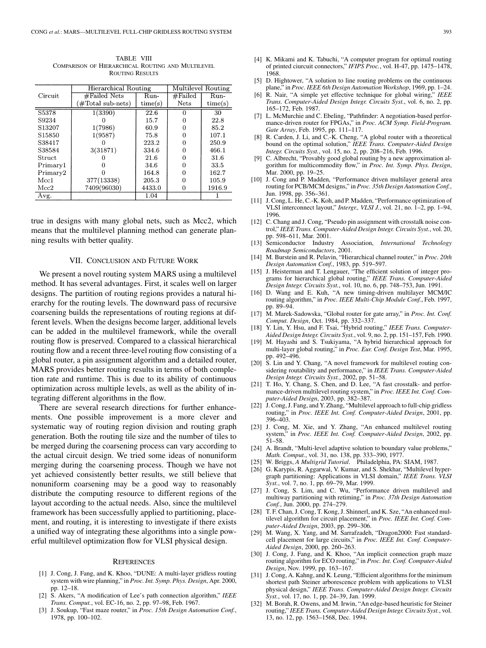<span id="page-11-0"></span>TABLE VIII COMPARISON OF HIERARCHICAL ROUTING AND MULTILEVEL ROUTING RESULTS

|                    | Hierarchical Routing   | Multilevel Routing |             |         |
|--------------------|------------------------|--------------------|-------------|---------|
| Circuit            | $# \text{Failed Nets}$ | Run-               | #Failed     | Run-    |
|                    | $#Total sub-nets)$     | time(s)            | <b>Nets</b> | time(s) |
| S5378              | 1(3390)                | 22.6               |             | 30      |
| S9234              |                        | 15.7               |             | 22.8    |
| S <sub>13207</sub> | 1(7986)                | 60.9               | 0           | 85.2    |
| S <sub>15850</sub> | 1(9587)                | 75.8               | 0           | 107.1   |
| S38417             |                        | 223.2              | 0           | 250.9   |
| S38584             | 3(31871)               | 334.6              | O           | 466.1   |
| Struct             |                        | 21.6               | 0           | 31.6    |
| Primary1           |                        | 34.6               |             | 33.5    |
| Primary2           |                        | 164.8              |             | 162.7   |
| Mcc1               | 377(13338)             | 205.3              |             | 105.9   |
| Mcc2               | 7409(96030)            | 4433.0             | 0           | 1916.9  |
| Avg.               |                        | 1.04               |             |         |

true in designs with many global nets, such as Mcc2, which means that the multilevel planning method can generate planning results with better quality.

#### VII. CONCLUSION AND FUTURE WORK

We present a novel routing system MARS using a multilevel method. It has several advantages. First, it scales well on larger designs. The partition of routing regions provides a natural hierarchy for the routing levels. The downward pass of recursive coarsening builds the representations of routing regions at different levels. When the designs become larger, additional levels can be added in the multilevel framework, while the overall routing flow is preserved. Compared to a classical hierarchical routing flow and a recent three-level routing flow consisting of a global router, a pin assignment algorithm and a detailed router, MARS provides better routing results in terms of both completion rate and runtime. This is due to its ability of continuous optimization across multiple levels, as well as the ability of integrating different algorithms in the flow.

There are several research directions for further enhancements. One possible improvement is a more clever and systematic way of routing region division and routing graph generation. Both the routing tile size and the number of tiles to be merged during the coarsening process can vary according to the actual circuit design. We tried some ideas of nonuniform merging during the coarsening process. Though we have not yet achieved consistently better results, we still believe that nonuniform coarsening may be a good way to reasonably distribute the computing resource to different regions of the layout according to the actual needs. Also, since the multilevel framework has been successfully applied to partitioning, placement, and routing, it is interesting to investigate if there exists a unified way of integrating these algorithms into a single powerful multilevel optimization flow for VLSI physical design.

#### **REFERENCES**

- [1] J. Cong, J. Fang, and K. Khoo, "DUNE: A multi-layer gridless routing system with wire planning," in *Proc. Int. Symp. Phys. Design*, Apr. 2000, pp. 12–18.
- [2] S. Akers, "A modification of Lee's path connection algorithm," *IEEE Trans. Comput.*, vol. EC-16, no. 2, pp. 97–98, Feb. 1967.
- [3] J. Soukup, "Fast maze router," in *Proc. 15th Design Automation Conf.*, 1978, pp. 100–102.
- [4] K. Mikami and K. Tabuchi, "A computer program for optimal routing of printed ciurcuit connectors," *IFIPS Proc.*, vol. H-47, pp. 1475–1478, 1968.
- [5] D. Hightower, "A solution to line routing problems on the continuous plane," in *Proc. IEEE 6th Design Automation Workshop*, 1969, pp. 1–24.
- [6] R. Nair, "A simple yet effective technique for global wiring," *IEEE Trans. Computer-Aided Design Integr. Circuits Syst.*, vol. 6, no. 2, pp. 165–172, Feb. 1987.
- [7] L. McMurchie and C. Ebeling, "Pathfinder: A negotiation-based performance-driven router for FPGAs," in *Proc. ACM Symp. Field-Program. Gate Array*, Feb. 1995, pp. 111–117.
- [8] R. Carden, J. Li, and C.-K. Cheng, "A global router with a theoretical bound on the optimal solution," *IEEE Trans. Computer-Aided Design Integr. Circuits Syst.*, vol. 15, no. 2, pp. 208–216, Feb. 1996.
- [9] C. Albrecht, "Provably good global routing by a new approximation algorithm for multicommodity flow," in *Proc. Int. Symp. Phys. Design*, Mar. 2000, pp. 19–25.
- [10] J. Cong and P. Madden, "Performance driven multilayer general area routing for PCB/MCM designs," in *Proc. 35th Design Automation Conf.*, Jun. 1998, pp. 356–361.
- [11] J. Cong, L. He, C.-K. Koh, and P. Madden, "Performance optimization of VLSI interconnect layout," *Intergr., VLSI J.*, vol. 21, no. 1-2, pp. 1-94, 1996.
- [12] C. Chang and J. Cong, "Pseudo pin assignment with crosstalk noise control," *IEEE Trans. Computer-Aided Design Integr. Circuits Syst.*, vol. 20, pp. 598–611, Mar. 2001.
- [13] Semiconductor Industry Association, *International Technology Roadmap Semiconductors*, 2001.
- [14] M. Burstein and R. Pelavin, "Hierarchical channel router," in *Proc. 20th Design Automation Conf.*, 1983, pp. 519–597.
- [15] J. Heisterman and T. Lengauer, "The efficient solution of integer programs for hierarchical global routing," *IEEE Trans. Computer-Aided Design Integr. Circuits Syst.*, vol. 10, no. 6, pp. 748–753, Jun. 1991.
- [16] D. Wang and E. Kuh, "A new timing-driven multilayer MCM/IC routing algorithm," in *Proc. IEEE Multi-Chip Module Conf.*, Feb. 1997, pp. 89–94.
- [17] M. Marek-Sadowska, "Global router for gate array," in *Proc. Int. Conf. Comput. Design*, Oct. 1984, pp. 332–337.
- [18] Y. Lin, Y. Hsu, and F. Tsai, "Hybrid routing," *IEEE Trans. Computer-Aided Design Integr. Circuits Syst.*, vol. 9, no. 2, pp. 151–157, Feb. 1990.
- [19] M. Hayashi and S. Tsukiyama, "A hybrid hierarchical approach for multi-layer global routing," in *Proc. Eur. Conf. Design Test*, Mar. 1995, pp. 492–496.
- [20] S. Lin and Y. Chang, "A novel framework for multilevel routing considering routability and performance," in *IEEE Trans. Computer-Aided Design Integr. Circuits Syst.*, 2002, pp. 51–58.
- [21] T. Ho, Y. Chang, S. Chen, and D. Lee, "A fast crosstalk- and performance-driven multilevel routing system," in *Proc. IEEE Int. Conf. Computer-Aided Design*, 2003, pp. 382–387.
- [22] J. Cong, J. Fang, and Y. Zhang, "Multilevel approach to full-chip gridless routing," in *Proc. IEEE Int. Conf. Computer-Aided Design*, 2001, pp. 396–403.
- [23] J. Cong, M. Xie, and Y. Zhang, "An enhanced multilevel routing system," in *Proc. IEEE Int. Conf. Computer-Aided Design*, 2002, pp. 51–58.
- [24] A. Brandt, "Multi-level adaptive solution to boundary value problems," *Math. Comput.*, vol. 31, no. 138, pp. 333–390, 1977.
- [25] W. Briggs, *A Multigrid Tutorial*. Philadelphia, PA: SIAM, 1987.
- [26] G. Karypis, R. Aggarwal, V. Kumar, and S. Shekhar, "Multilevel hypergraph partitioning: Applications in VLSI domain," *IEEE Trans. VLSI Syst.*, vol. 7, no. 1, pp. 69–79, Mar. 1999.
- [27] J. Cong, S. Lim, and C. Wu, "Performance driven multilevel and multiway partitioning with retiming," in *Proc. 37th Design Automation Conf.*, Jun. 2000, pp. 274–279.
- [28] T. F. Chan, J. Cong, T. Kong, J. Shinnerl, and K. Sze, "An enhanced multilevel algorithm for circuit placement," in *Proc. IEEE Int. Conf. Computer-Aided Design*, 2003, pp. 299–306.
- [29] M. Wang, X. Yang, and M. Sarrafzadeh, "Dragon2000: Fast standardcell placement for large circuits," in *Proc. IEEE Int. Conf. Computer-Aided Design*, 2000, pp. 260–263.
- [30] J. Cong, J. Fang, and K. Khoo, "An implicit connection graph maze routing algorithm for ECO routing," in *Proc. Int. Conf. Computer-Aided Design*, Nov. 1999, pp. 163–167.
- [31] J. Cong, A. Kahng, and K. Leung, "Efficient algorithms for the minimum shortest path Steiner arborescence problem with applications to VLSI physical design," *IEEE Trans. Computer-Aided Design Integr. Circuits Syst.*, vol. 17, no. 1, pp. 24–39, Jan. 1999.
- [32] M. Borah, R. Owens, and M. Irwin, "An edge-based heuristic for Steiner routing," *IEEE Trans. Computer-Aided Design Integr. Circuits Syst.*, vol. 13, no. 12, pp. 1563–1568, Dec. 1994.